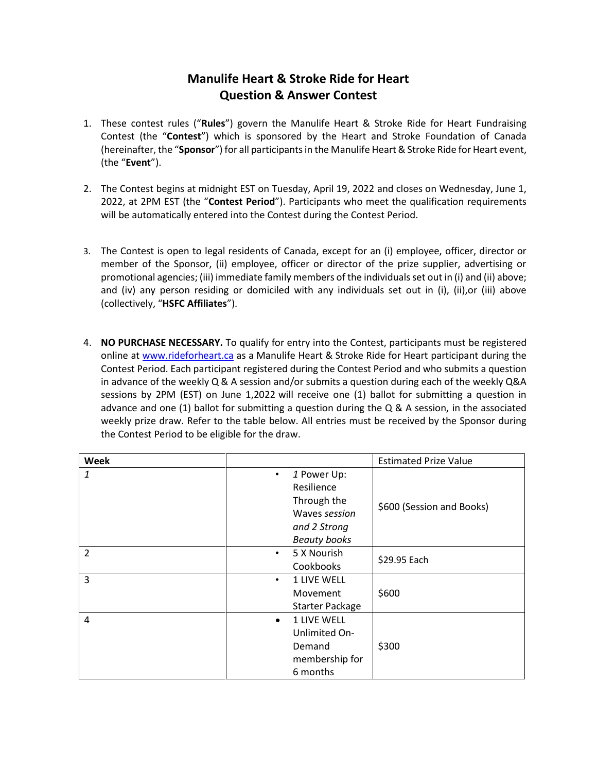## **Manulife Heart & Stroke Ride for Heart Question & Answer Contest**

- 1. These contest rules ("**Rules**") govern the Manulife Heart & Stroke Ride for Heart Fundraising Contest (the "**Contest**") which is sponsored by the Heart and Stroke Foundation of Canada (hereinafter, the "**Sponsor**") for all participantsin the Manulife Heart& Stroke Ride for Heart event, (the "**Event**").
- 2. The Contest begins at midnight EST on Tuesday, April 19, 2022 and closes on Wednesday, June 1, 2022, at 2PM EST (the "**Contest Period**"). Participants who meet the qualification requirements will be automatically entered into the Contest during the Contest Period.
- 3. The Contest is open to legal residents of Canada, except for an (i) employee, officer, director or member of the Sponsor, (ii) employee, officer or director of the prize supplier, advertising or promotional agencies; (iii) immediate family members of the individuals set out in (i) and (ii) above; and (iv) any person residing or domiciled with any individuals set out in (i), (ii), or (iii) above (collectively, "**HSFC Affiliates**").
- 4. **NO PURCHASE NECESSARY.** To qualify for entry into the Contest, participants must be registered online at [www.rideforheart.ca](http://www.rideforheart.ca/) as a Manulife Heart & Stroke Ride for Heart participant during the Contest Period. Each participant registered during the Contest Period and who submits a question in advance of the weekly Q & A session and/or submits a question during each of the weekly Q&A sessions by 2PM (EST) on June 1,2022 will receive one (1) ballot for submitting a question in advance and one (1) ballot for submitting a question during the Q & A session, in the associated weekly prize draw. Refer to the table below. All entries must be received by the Sponsor during the Contest Period to be eligible for the draw.

| <b>Week</b>    |           |                        | <b>Estimated Prize Value</b> |
|----------------|-----------|------------------------|------------------------------|
| 1              | $\bullet$ | 1 Power Up:            | \$600 (Session and Books)    |
|                |           | Resilience             |                              |
|                |           | Through the            |                              |
|                |           | Waves session          |                              |
|                |           | and 2 Strong           |                              |
|                |           | <b>Beauty books</b>    |                              |
| $\overline{2}$ | $\bullet$ | 5 X Nourish            | \$29.95 Each                 |
|                |           | Cookbooks              |                              |
| 3              | $\bullet$ | 1 LIVE WELL            |                              |
|                |           | Movement               | \$600                        |
|                |           | <b>Starter Package</b> |                              |
| 4              | $\bullet$ | <b>1 LIVE WELL</b>     |                              |
|                |           | Unlimited On-          |                              |
|                |           | Demand                 | \$300                        |
|                |           | membership for         |                              |
|                |           | 6 months               |                              |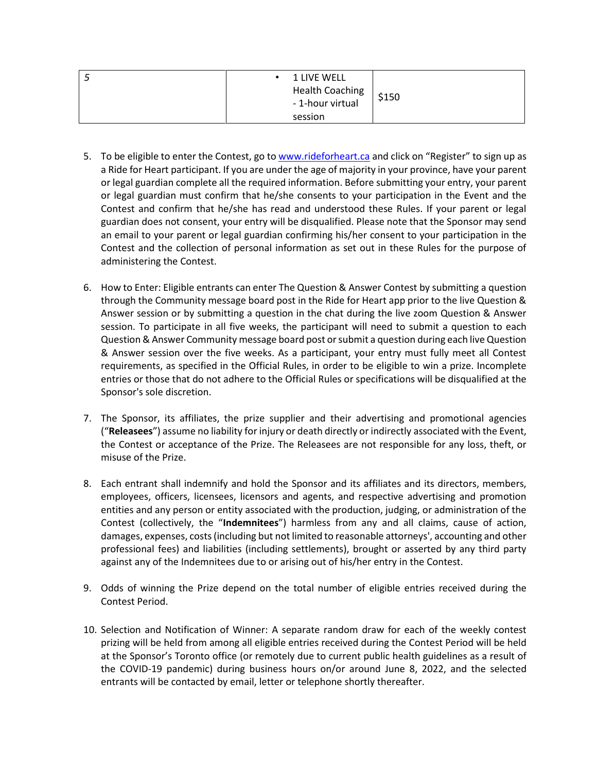| یست | • 1 LIVE WELL          |       |
|-----|------------------------|-------|
|     | <b>Health Coaching</b> | \$150 |
|     | - 1-hour virtual       |       |
|     | session                |       |

- 5. To be eligible to enter the Contest, go t[o www.rideforheart.ca](http://www.rideforheart.ca/) and click on "Register" to sign up as a Ride for Heart participant. If you are under the age of majority in your province, have your parent or legal guardian complete all the required information. Before submitting your entry, your parent or legal guardian must confirm that he/she consents to your participation in the Event and the Contest and confirm that he/she has read and understood these Rules. If your parent or legal guardian does not consent, your entry will be disqualified. Please note that the Sponsor may send an email to your parent or legal guardian confirming his/her consent to your participation in the Contest and the collection of personal information as set out in these Rules for the purpose of administering the Contest.
- 6. How to Enter: Eligible entrants can enter The Question & Answer Contest by submitting a question through the Community message board post in the Ride for Heart app prior to the live Question & Answer session or by submitting a question in the chat during the live zoom Question & Answer session. To participate in all five weeks, the participant will need to submit a question to each Question & Answer Community message board post or submit a question during each live Question & Answer session over the five weeks. As a participant, your entry must fully meet all Contest requirements, as specified in the Official Rules, in order to be eligible to win a prize. Incomplete entries or those that do not adhere to the Official Rules or specifications will be disqualified at the Sponsor's sole discretion.
- 7. The Sponsor, its affiliates, the prize supplier and their advertising and promotional agencies ("**Releasees**") assume no liability for injury or death directly or indirectly associated with the Event, the Contest or acceptance of the Prize. The Releasees are not responsible for any loss, theft, or misuse of the Prize.
- 8. Each entrant shall indemnify and hold the Sponsor and its affiliates and its directors, members, employees, officers, licensees, licensors and agents, and respective advertising and promotion entities and any person or entity associated with the production, judging, or administration of the Contest (collectively, the "**Indemnitees**") harmless from any and all claims, cause of action, damages, expenses, costs (including but not limited to reasonable attorneys', accounting and other professional fees) and liabilities (including settlements), brought or asserted by any third party against any of the Indemnitees due to or arising out of his/her entry in the Contest.
- 9. Odds of winning the Prize depend on the total number of eligible entries received during the Contest Period.
- 10. Selection and Notification of Winner: A separate random draw for each of the weekly contest prizing will be held from among all eligible entries received during the Contest Period will be held at the Sponsor's Toronto office (or remotely due to current public health guidelines as a result of the COVID-19 pandemic) during business hours on/or around June 8, 2022, and the selected entrants will be contacted by email, letter or telephone shortly thereafter.